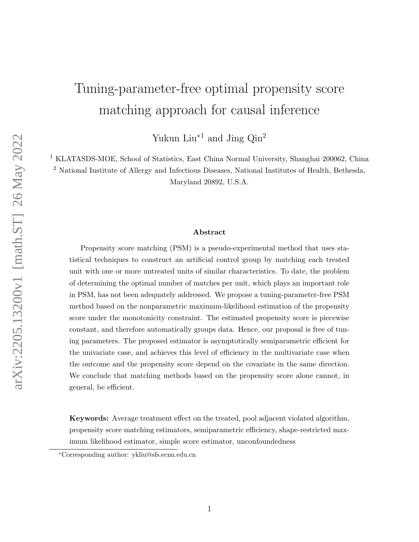# <span id="page-0-0"></span>Tuning-parameter-free optimal propensity score matching approach for causal inference

Yukun Liu<sup>∗1</sup> and Jing  $Qin^2$ 

<sup>1</sup> KLATASDS-MOE, School of Statistics, East China Normal University, Shanghai 200062, China

<sup>2</sup> National Institute of Allergy and Infectious Diseases, National Institutes of Health, Bethesda, Maryland 20892, U.S.A.

#### Abstract

Propensity score matching (PSM) is a pseudo-experimental method that uses statistical techniques to construct an artificial control group by matching each treated unit with one or more untreated units of similar characteristics. To date, the problem of determining the optimal number of matches per unit, which plays an important role in PSM, has not been adequately addressed. We propose a tuning-parameter-free PSM method based on the nonparametric maximum-likelihood estimation of the propensity score under the monotonicity constraint. The estimated propensity score is piecewise constant, and therefore automatically groups data. Hence, our proposal is free of tuning parameters. The proposed estimator is asymptotically semiparametric efficient for the univariate case, and achieves this level of efficiency in the multivariate case when the outcome and the propensity score depend on the covariate in the same direction. We conclude that matching methods based on the propensity score alone cannot, in general, be efficient.

Keywords: Average treatment effect on the treated, pool adjacent violated algorithm, propensity score matching estimators, semiparametric efficiency, shape-restricted maximum likelihood estimator, simple score estimator, unconfoundedness

<sup>∗</sup>Corresponding author: ykliu@sfs.ecnu.edu.cn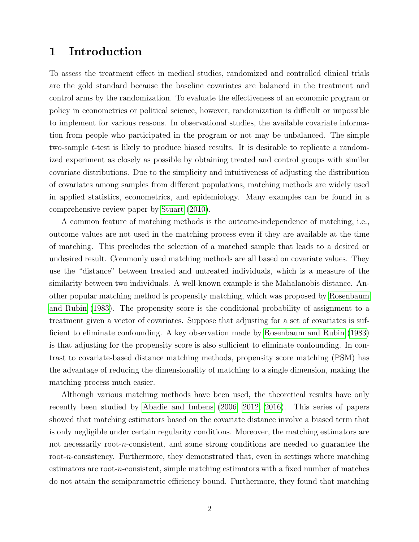# 1 Introduction

To assess the treatment effect in medical studies, randomized and controlled clinical trials are the gold standard because the baseline covariates are balanced in the treatment and control arms by the randomization. To evaluate the effectiveness of an economic program or policy in econometrics or political science, however, randomization is difficult or impossible to implement for various reasons. In observational studies, the available covariate information from people who participated in the program or not may be unbalanced. The simple two-sample t-test is likely to produce biased results. It is desirable to replicate a randomized experiment as closely as possible by obtaining treated and control groups with similar covariate distributions. Due to the simplicity and intuitiveness of adjusting the distribution of covariates among samples from different populations, matching methods are widely used in applied statistics, econometrics, and epidemiology. Many examples can be found in a comprehensive review paper by [Stuart](#page-24-0) [\(2010\)](#page-24-0).

A common feature of matching methods is the outcome-independence of matching, i.e., outcome values are not used in the matching process even if they are available at the time of matching. This precludes the selection of a matched sample that leads to a desired or undesired result. Commonly used matching methods are all based on covariate values. They use the "distance" between treated and untreated individuals, which is a measure of the similarity between two individuals. A well-known example is the Mahalanobis distance. Another popular matching method is propensity matching, which was proposed by [Rosenbaum](#page-24-1) [and Rubin](#page-24-1) [\(1983\)](#page-24-1). The propensity score is the conditional probability of assignment to a treatment given a vector of covariates. Suppose that adjusting for a set of covariates is sufficient to eliminate confounding. A key observation made by [Rosenbaum and Rubin](#page-24-1) [\(1983\)](#page-24-1) is that adjusting for the propensity score is also sufficient to eliminate confounding. In contrast to covariate-based distance matching methods, propensity score matching (PSM) has the advantage of reducing the dimensionality of matching to a single dimension, making the matching process much easier.

Although various matching methods have been used, the theoretical results have only recently been studied by [Abadie and Imbens](#page-22-0) [\(2006,](#page-22-0) [2012,](#page-22-1) [2016\)](#page-22-2). This series of papers showed that matching estimators based on the covariate distance involve a biased term that is only negligible under certain regularity conditions. Moreover, the matching estimators are not necessarily root-n-consistent, and some strong conditions are needed to guarantee the root-n-consistency. Furthermore, they demonstrated that, even in settings where matching estimators are root-n-consistent, simple matching estimators with a fixed number of matches do not attain the semiparametric efficiency bound. Furthermore, they found that matching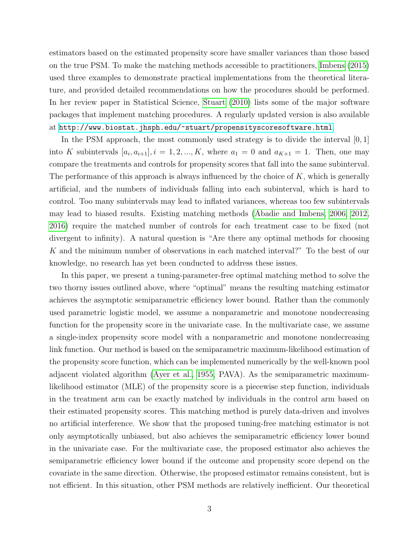estimators based on the estimated propensity score have smaller variances than those based on the true PSM. To make the matching methods accessible to practitioners, [Imbens](#page-23-0) [\(2015\)](#page-23-0) used three examples to demonstrate practical implementations from the theoretical literature, and provided detailed recommendations on how the procedures should be performed. In her review paper in Statistical Science, [Stuart](#page-24-0) [\(2010\)](#page-24-0) lists some of the major software packages that implement matching procedures. A regularly updated version is also available at <http://www.biostat.jhsph.edu/~stuart/propensityscoresoftware.html>.

In the PSM approach, the most commonly used strategy is to divide the interval [0, 1] into K subintervals  $[a_i, a_{i+1}], i = 1, 2, ..., K$ , where  $a_1 = 0$  and  $a_{K+1} = 1$ . Then, one may compare the treatments and controls for propensity scores that fall into the same subinterval. The performance of this approach is always influenced by the choice of  $K$ , which is generally artificial, and the numbers of individuals falling into each subinterval, which is hard to control. Too many subintervals may lead to inflated variances, whereas too few subintervals may lead to biased results. Existing matching methods [\(Abadie and Imbens, 2006,](#page-22-0) [2012,](#page-22-1) [2016\)](#page-22-2) require the matched number of controls for each treatment case to be fixed (not divergent to infinity). A natural question is "Are there any optimal methods for choosing K and the minimum number of observations in each matched interval?" To the best of our knowledge, no research has yet been conducted to address these issues.

In this paper, we present a tuning-parameter-free optimal matching method to solve the two thorny issues outlined above, where "optimal" means the resulting matching estimator achieves the asymptotic semiparametric efficiency lower bound. Rather than the commonly used parametric logistic model, we assume a nonparametric and monotone nondecreasing function for the propensity score in the univariate case. In the multivariate case, we assume a single-index propensity score model with a nonparametric and monotone nondecreasing link function. Our method is based on the semiparametric maximum-likelihood estimation of the propensity score function, which can be implemented numerically by the well-known pool adjacent violated algorithm [\(Ayer et al., 1955,](#page-22-3) PAVA). As the semiparametric maximumlikelihood estimator (MLE) of the propensity score is a piecewise step function, individuals in the treatment arm can be exactly matched by individuals in the control arm based on their estimated propensity scores. This matching method is purely data-driven and involves no artificial interference. We show that the proposed tuning-free matching estimator is not only asymptotically unbiased, but also achieves the semiparametric efficiency lower bound in the univariate case. For the multivariate case, the proposed estimator also achieves the semiparametric efficiency lower bound if the outcome and propensity score depend on the covariate in the same direction. Otherwise, the proposed estimator remains consistent, but is not efficient. In this situation, other PSM methods are relatively inefficient. Our theoretical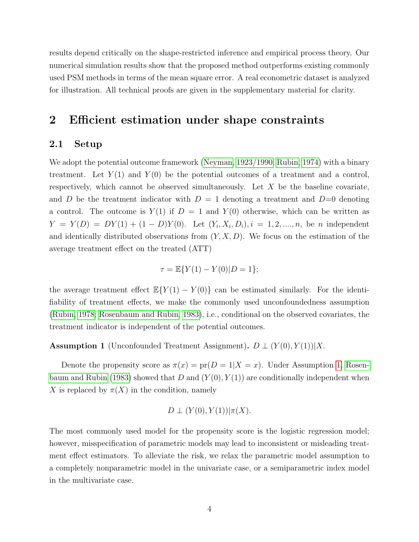results depend critically on the shape-restricted inference and empirical process theory. Our numerical simulation results show that the proposed method outperforms existing commonly used PSM methods in terms of the mean square error. A real econometric dataset is analyzed for illustration. All technical proofs are given in the supplementary material for clarity.

## 2 Efficient estimation under shape constraints

#### 2.1 Setup

We adopt the potential outcome framework [\(Neyman, 1923/1990;](#page-23-1) [Rubin, 1974\)](#page-24-2) with a binary treatment. Let  $Y(1)$  and  $Y(0)$  be the potential outcomes of a treatment and a control, respectively, which cannot be observed simultaneously. Let  $X$  be the baseline covariate, and D be the treatment indicator with  $D = 1$  denoting a treatment and  $D=0$  denoting a control. The outcome is  $Y(1)$  if  $D = 1$  and  $Y(0)$  otherwise, which can be written as  $Y = Y(D) = DY(1) + (1 - D)Y(0)$ . Let  $(Y_i, X_i, D_i), i = 1, 2, ..., n$ , be *n* independent and identically distributed observations from  $(Y, X, D)$ . We focus on the estimation of the average treatment effect on the treated (ATT)

$$
\tau = \mathbb{E}\{Y(1) - Y(0)|D = 1\};
$$

the average treatment effect  $\mathbb{E}\{Y(1) - Y(0)\}\)$  can be estimated similarly. For the identifiability of treatment effects, we make the commonly used unconfoundedness assumption [\(Rubin, 1978;](#page-24-3) [Rosenbaum and Rubin, 1983\)](#page-24-1), i.e., conditional on the observed covariates, the treatment indicator is independent of the potential outcomes.

<span id="page-3-0"></span>Assumption 1 (Unconfounded Treatment Assignment).  $D \perp (Y(0), Y(1))|X$ .

Denote the propensity score as  $\pi(x) = pr(D = 1 | X = x)$ . Under Assumption [1,](#page-3-0) [Rosen](#page-24-1)[baum and Rubin](#page-24-1) [\(1983\)](#page-24-1) showed that D and  $(Y(0), Y(1))$  are conditionally independent when X is replaced by  $\pi(X)$  in the condition, namely

$$
D \perp (Y(0), Y(1)) | \pi(X).
$$

The most commonly used model for the propensity score is the logistic regression model; however, misspecification of parametric models may lead to inconsistent or misleading treatment effect estimators. To alleviate the risk, we relax the parametric model assumption to a completely nonparametric model in the univariate case, or a semiparametric index model in the multivariate case.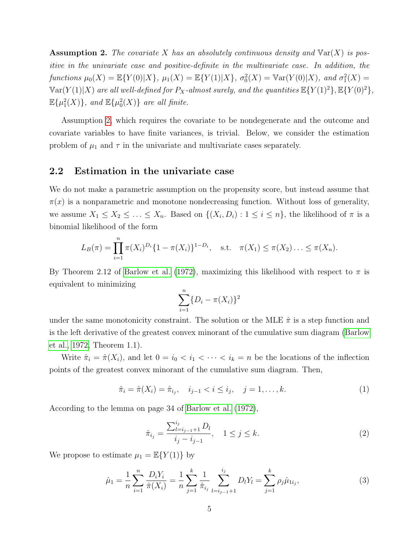<span id="page-4-0"></span>**Assumption 2.** The covariate X has an absolutely continuous density and  $\text{Var}(X)$  is positive in the univariate case and positive-definite in the multivariate case. In addition, the functions  $\mu_0(X) = \mathbb{E}\{Y(0)|X\}, \ \mu_1(X) = \mathbb{E}\{Y(1)|X\}, \ \sigma_0^2(X) = \mathbb{V}\ar(Y(0)|X), \ and \ \sigma_1^2(X) =$  $\mathbb{V}\text{ar}(Y(1)|X)$  are all well-defined for  $P_X$ -almost surely, and the quantities  $\mathbb{E}\{Y(1)^2\}$ ,  $\mathbb{E}\{Y(0)^2\}$ ,  $\mathbb{E}\{\mu_1^2(X)\}\$ , and  $\mathbb{E}\{\mu_0^2(X)\}\$  are all finite.

Assumption [2,](#page-4-0) which requires the covariate to be nondegenerate and the outcome and covariate variables to have finite variances, is trivial. Below, we consider the estimation problem of  $\mu_1$  and  $\tau$  in the univariate and multivariate cases separately.

#### 2.2 Estimation in the univariate case

We do not make a parametric assumption on the propensity score, but instead assume that  $\pi(x)$  is a nonparametric and monotone nondecreasing function. Without loss of generality, we assume  $X_1 \leq X_2 \leq \ldots \leq X_n$ . Based on  $\{(X_i, D_i) : 1 \leq i \leq n\}$ , the likelihood of  $\pi$  is a binomial likelihood of the form

$$
L_B(\pi) = \prod_{i=1}^n \pi(X_i)^{D_i} \{1 - \pi(X_i)\}^{1 - D_i}, \quad \text{s.t.} \quad \pi(X_1) \le \pi(X_2) \ldots \le \pi(X_n).
$$

By Theorem 2.12 of [Barlow et al.](#page-22-4) [\(1972\)](#page-22-4), maximizing this likelihood with respect to  $\pi$  is equivalent to minimizing

$$
\sum_{i=1}^{n} \{D_i - \pi(X_i)\}^2
$$

under the same monotonicity constraint. The solution or the MLE  $\hat{\pi}$  is a step function and is the left derivative of the greatest convex minorant of the cumulative sum diagram [\(Barlow](#page-22-4) [et al., 1972,](#page-22-4) Theorem 1.1).

Write  $\hat{\pi}_i = \hat{\pi}(X_i)$ , and let  $0 = i_0 < i_1 < \cdots < i_k = n$  be the locations of the inflection points of the greatest convex minorant of the cumulative sum diagram. Then,

$$
\hat{\pi}_i = \hat{\pi}(X_i) = \hat{\pi}_{i_j}, \quad i_{j-1} < i \leq i_j, \quad j = 1, \dots, k. \tag{1}
$$

According to the lemma on page 34 of [Barlow et al.](#page-22-4) [\(1972\)](#page-22-4),

$$
\hat{\pi}_{i_j} = \frac{\sum_{l=i_{j-1}+1}^{i_j} D_l}{i_j - i_{j-1}}, \quad 1 \le j \le k. \tag{2}
$$

We propose to estimate  $\mu_1 = \mathbb{E}\{Y(1)\}$  by

$$
\hat{\mu}_1 = \frac{1}{n} \sum_{i=1}^n \frac{D_i Y_i}{\hat{\pi}(X_i)} = \frac{1}{n} \sum_{j=1}^k \frac{1}{\hat{\pi}_{i_j}} \sum_{l=i_{j-1}+1}^{i_j} D_l Y_l = \sum_{j=1}^k \rho_j \hat{\mu}_{1i_j},\tag{3}
$$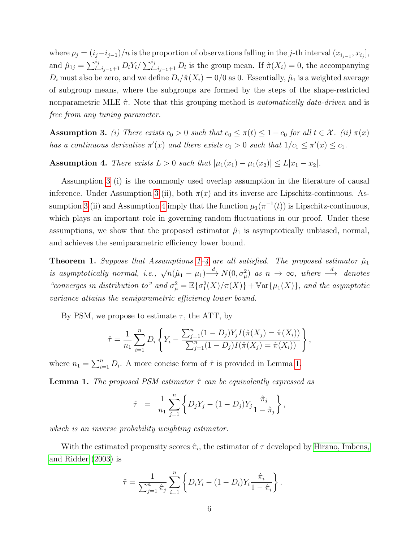where  $\rho_j = (i_j - i_{j-1})/n$  is the proportion of observations falling in the j-th interval  $(x_{i_{j-1}}, x_{i_j}],$ and  $\hat{\mu}_{1j} = \sum_{l=i_{j-1}+1}^{i_j} D_l Y_l / \sum_{l=i_{j-1}+1}^{i_j} D_l$  is the group mean. If  $\hat{\pi}(X_i) = 0$ , the accompanying  $D_i$  must also be zero, and we define  $D_i/\hat{\pi}(X_i) = 0/0$  as 0. Essentially,  $\hat{\mu}_1$  is a weighted average of subgroup means, where the subgroups are formed by the steps of the shape-restricted nonparametric MLE  $\hat{\pi}$ . Note that this grouping method is *automatically data-driven* and is free from any tuning parameter.

<span id="page-5-0"></span>**Assumption 3.** (i) There exists  $c_0 > 0$  such that  $c_0 \leq \pi(t) \leq 1 - c_0$  for all  $t \in \mathcal{X}$ . (ii)  $\pi(x)$ has a continuous derivative  $\pi'(x)$  and there exists  $c_1 > 0$  such that  $1/c_1 \leq \pi'(x) \leq c_1$ .

<span id="page-5-1"></span>Assumption 4. There exists  $L > 0$  such that  $|\mu_1(x_1) - \mu_1(x_2)| \le L|x_1 - x_2|$ .

Assumption [3](#page-5-0) (i) is the commonly used overlap assumption in the literature of causal inference. Under Assumption [3](#page-5-0) (ii), both  $\pi(x)$  and its inverse are Lipschitz-continuous. As-sumption [3](#page-5-0) (ii) and Assumption [4](#page-5-1) imply that the function  $\mu_1(\pi^{-1}(t))$  is Lipschitz-continuous, which plays an important role in governing random fluctuations in our proof. Under these assumptions, we show that the proposed estimator  $\hat{\mu}_1$  is asymptotically unbiased, normal, and achieves the semiparametric efficiency lower bound.

**Theorem [1](#page-3-0).** Suppose that Assumptions 1[–4](#page-5-1) are all satisfied. The proposed estimator  $\hat{\mu}_1$ is asymptotically normal, i.e.,  $\sqrt{n}(\hat{\mu}_1 - \mu_1) \stackrel{d}{\longrightarrow} N(0, \sigma_\mu^2)$  as  $n \to \infty$ , where  $\stackrel{d}{\longrightarrow}$  denotes "converges in distribution to" and  $\sigma_{\mu}^2 = \mathbb{E} {\{\sigma_1^2(X)/\pi(X)\}} + \mathbb{V}\{\mathop{\rm ar}\{ \mu_1(X)\}}$ , and the asymptotic variance attains the semiparametric efficiency lower bound.

By PSM, we propose to estimate  $\tau$ , the ATT, by

$$
\hat{\tau} = \frac{1}{n_1} \sum_{i=1}^n D_i \left\{ Y_i - \frac{\sum_{j=1}^n (1 - D_j) Y_j I(\hat{\pi}(X_j) = \hat{\pi}(X_i))}{\sum_{j=1}^n (1 - D_j) I(\hat{\pi}(X_j) = \hat{\pi}(X_i))} \right\},
$$

where  $n_1 = \sum_{i=1}^n D_i$ . A more concise form of  $\hat{\tau}$  is provided in Lemma [1.](#page-5-2)

<span id="page-5-2"></span>**Lemma 1.** The proposed PSM estimator  $\hat{\tau}$  can be equivalently expressed as

$$
\hat{\tau} = \frac{1}{n_1} \sum_{j=1}^n \left\{ D_j Y_j - (1 - D_j) Y_j \frac{\hat{\pi}_j}{1 - \hat{\pi}_j} \right\},\,
$$

which is an inverse probability weighting estimator.

With the estimated propensity scores  $\hat{\pi}_i$ , the estimator of  $\tau$  developed by [Hirano, Imbens,](#page-23-2) [and Ridder](#page-23-2) [\(2003\)](#page-23-2) is

$$
\tilde{\tau} = \frac{1}{\sum_{j=1}^{n} \hat{\pi}_j} \sum_{i=1}^{n} \left\{ D_i Y_i - (1 - D_i) Y_i \frac{\hat{\pi}_i}{1 - \hat{\pi}_i} \right\}.
$$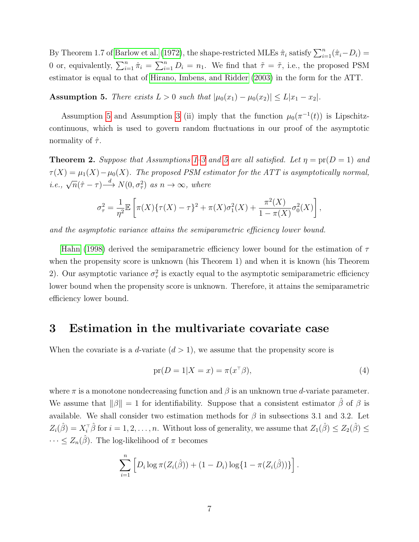By Theorem 1.7 of [Barlow et al.](#page-22-4) [\(1972\)](#page-22-4), the shape-restricted MLEs  $\hat{\pi}_i$  satisfy  $\sum_{i=1}^n (\hat{\pi}_i - D_i)$ 0 or, equivalently,  $\sum_{i=1}^{n} \hat{\pi}_i = \sum_{i=1}^{n} D_i = n_1$ . We find that  $\tilde{\tau} = \tilde{\tau}$ , i.e., the proposed PSM estimator is equal to that of [Hirano, Imbens, and Ridder](#page-23-2) [\(2003\)](#page-23-2) in the form for the ATT.

<span id="page-6-0"></span>Assumption 5. There exists  $L > 0$  such that  $|\mu_0(x_1) - \mu_0(x_2)| \le L|x_1 - x_2|$ .

Assumption [5](#page-6-0) and Assumption [3](#page-5-0) (ii) imply that the function  $\mu_0(\pi^{-1}(t))$  is Lipschitzcontinuous, which is used to govern random fluctuations in our proof of the asymptotic normality of  $\hat{\tau}$ .

**Theorem 2.** Suppose that Assumptions [1](#page-3-0)[–3](#page-5-0) and [5](#page-6-0) are all satisfied. Let  $\eta = \text{pr}(D = 1)$  and  $\tau(X) = \mu_1(X) - \mu_0(X)$ . The proposed PSM estimator for the ATT is asymptotically normal, i.e.,  $\sqrt{n}(\hat{\tau} - \tau) \xrightarrow{d} N(0, \sigma_{\tau}^2)$  as  $n \to \infty$ , where

$$
\sigma_{\tau}^{2} = \frac{1}{\eta^{2}} \mathbb{E} \left[ \pi(X) \{ \tau(X) - \tau \}^{2} + \pi(X) \sigma_{1}^{2}(X) + \frac{\pi^{2}(X)}{1 - \pi(X)} \sigma_{0}^{2}(X) \right],
$$

and the asymptotic variance attains the semiparametric efficiency lower bound.

[Hahn](#page-23-3) [\(1998\)](#page-23-3) derived the semiparametric efficiency lower bound for the estimation of  $\tau$ when the propensity score is unknown (his Theorem 1) and when it is known (his Theorem 2). Our asymptotic variance  $\sigma_{\tau}^2$  is exactly equal to the asymptotic semiparametric efficiency lower bound when the propensity score is unknown. Therefore, it attains the semiparametric efficiency lower bound.

# 3 Estimation in the multivariate covariate case

When the covariate is a d-variate  $(d > 1)$ , we assume that the propensity score is

<span id="page-6-1"></span>
$$
pr(D = 1|X = x) = \pi(x^{\top}\beta),\tag{4}
$$

where  $\pi$  is a monotone nondecreasing function and  $\beta$  is an unknown true d-variate parameter. We assume that  $\|\beta\| = 1$  for identifiability. Suppose that a consistent estimator  $\beta$  of  $\beta$  is available. We shall consider two estimation methods for  $\beta$  in subsections 3.1 and 3.2. Let  $Z_i(\hat{\beta}) = X_i^{\dagger} \hat{\beta}$  for  $i = 1, 2, ..., n$ . Without loss of generality, we assume that  $Z_1(\hat{\beta}) \le Z_2(\hat{\beta}) \le$  $\cdots \leq Z_n(\hat{\beta})$ . The log-likelihood of  $\pi$  becomes

$$
\sum_{i=1}^{n} \left[ D_i \log \pi(Z_i(\hat{\beta})) + (1 - D_i) \log \{1 - \pi(Z_i(\hat{\beta}))\} \right].
$$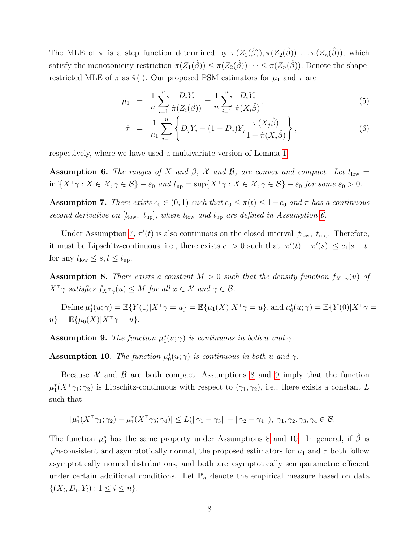The MLE of  $\pi$  is a step function determined by  $\pi(Z_1(\hat{\beta})), \pi(Z_2(\hat{\beta})), \ldots, \pi(Z_n(\hat{\beta})),$  which satisfy the monotonicity restriction  $\pi(Z_1(\hat{\beta})) \leq \pi(Z_2(\hat{\beta})) \cdots \leq \pi(Z_n(\hat{\beta}))$ . Denote the shaperestricted MLE of  $\pi$  as  $\hat{\pi}(\cdot)$ . Our proposed PSM estimators for  $\mu_1$  and  $\tau$  are

<span id="page-7-5"></span>
$$
\hat{\mu}_1 = \frac{1}{n} \sum_{i=1}^n \frac{D_i Y_i}{\hat{\pi}(Z_i(\hat{\beta}))} = \frac{1}{n} \sum_{i=1}^n \frac{D_i Y_i}{\hat{\pi}(X_i \hat{\beta})},\tag{5}
$$

$$
\hat{\tau} = \frac{1}{n_1} \sum_{j=1}^{n} \left\{ D_j Y_j - (1 - D_j) Y_j \frac{\hat{\pi}(X_j \hat{\beta})}{1 - \hat{\pi}(X_j \hat{\beta})} \right\},
$$
\n(6)

respectively, where we have used a multivariate version of Lemma [1.](#page-5-2)

<span id="page-7-0"></span>**Assumption 6.** The ranges of X and  $\beta$ , X and B, are convex and compact. Let t<sub>low</sub> =  $\inf\{X^\top \gamma : X \in \mathcal{X}, \gamma \in \mathcal{B}\} - \varepsilon_0$  and  $t_{\text{up}} = \sup\{X^\top \gamma : X \in \mathcal{X}, \gamma \in \mathcal{B}\} + \varepsilon_0$  for some  $\varepsilon_0 > 0$ .

<span id="page-7-1"></span>Assumption 7. There exists  $c_0 \in (0,1)$  such that  $c_0 \leq \pi(t) \leq 1-c_0$  and  $\pi$  has a continuous second derivative on  $[t<sub>low</sub>, t<sub>up</sub>]$ , where  $t<sub>low</sub>$  and  $t<sub>up</sub>$  are defined in Assumption [6.](#page-7-0)

Under Assumption [7,](#page-7-1)  $\pi'(t)$  is also continuous on the closed interval  $[t_{\text{low}}, t_{\text{up}}]$ . Therefore, it must be Lipschitz-continuous, i.e., there exists  $c_1 > 0$  such that  $|\pi'(t) - \pi'(s)| \le c_1 |s - t|$ for any  $t_{\text{low}} \leq s, t \leq t_{\text{up}}$ .

<span id="page-7-2"></span>**Assumption 8.** There exists a constant  $M > 0$  such that the density function  $f_{X<sup>T</sup>Y}(u)$  of  $X^{\top} \gamma$  satisfies  $f_{X^{\top} \gamma}(u) \leq M$  for all  $x \in \mathcal{X}$  and  $\gamma \in \mathcal{B}$ .

Define  $\mu_1^*(u;\gamma) = \mathbb{E}\{Y(1)|X^\top\gamma = u\} = \mathbb{E}\{\mu_1(X)|X^\top\gamma = u\}$ , and  $\mu_0^*(u;\gamma) = \mathbb{E}\{Y(0)|X^\top\gamma = u\}$  $u$ } =  $\mathbb{E}\{\mu_0(X)|X^\top \gamma = u\}.$ 

<span id="page-7-3"></span>**Assumption 9.** The function  $\mu_1^*(u; \gamma)$  is continuous in both u and  $\gamma$ .

<span id="page-7-4"></span>**Assumption 10.** The function  $\mu_0^*(u; \gamma)$  is continuous in both u and  $\gamma$ .

Because  $\mathcal X$  and  $\mathcal B$  are both compact, Assumptions [8](#page-7-2) and [9](#page-7-3) imply that the function  $\mu_1^*(X^{\top}\gamma_1;\gamma_2)$  is Lipschitz-continuous with respect to  $(\gamma_1,\gamma_2)$ , i.e., there exists a constant L such that

$$
|\mu_1^*(X^{\top}\gamma_1; \gamma_2) - \mu_1^*(X^{\top}\gamma_3; \gamma_4)| \leq L(||\gamma_1 - \gamma_3|| + ||\gamma_2 - \gamma_4||), \ \gamma_1, \gamma_2, \gamma_3, \gamma_4 \in \mathcal{B}.
$$

The function  $\mu_0^*$  has the same property under Assumptions [8](#page-7-2) and [10.](#page-7-4) In general, if  $\hat{\beta}$  is  $\sqrt{n}$ -consistent and asymptotically normal, the proposed estimators for  $\mu_1$  and  $\tau$  both follow asymptotically normal distributions, and both are asymptotically semiparametric efficient under certain additional conditions. Let  $\mathbb{P}_n$  denote the empirical measure based on data  $\{(X_i, D_i, Y_i) : 1 \leq i \leq n\}.$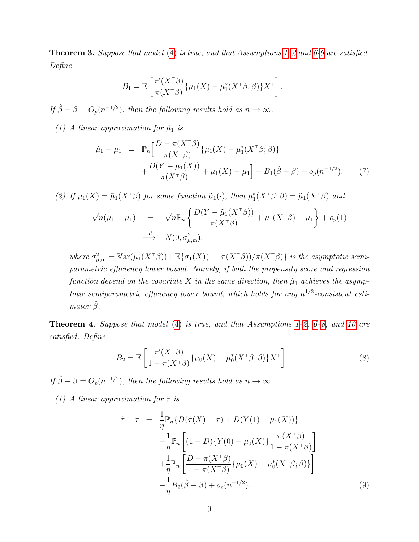<span id="page-8-0"></span>**Theorem 3.** Suppose that model [\(4\)](#page-6-1) is true, and that Assumptions  $1-\frac{2}{3}$  and  $6-\frac{9}{3}$  are satisfied. Define

$$
B_1 = \mathbb{E}\left[\frac{\pi'(X^{\top}\beta)}{\pi(X^{\top}\beta)}\{\mu_1(X) - \mu_1^*(X^{\top}\beta;\beta)\}X^{\top}\right].
$$

If  $\hat{\beta} - \beta = O_p(n^{-1/2})$ , then the following results hold as  $n \to \infty$ .

(1) A linear approximation for  $\hat{\mu}_1$  is

$$
\hat{\mu}_1 - \mu_1 = \mathbb{P}_n \Big[ \frac{D - \pi(X^{\top}\beta)}{\pi(X^{\top}\beta)} \{ \mu_1(X) - \mu_1^*(X^{\top}\beta; \beta) \} + \frac{D(Y - \mu_1(X))}{\pi(X^{\top}\beta)} + \mu_1(X) - \mu_1 \Big] + B_1(\hat{\beta} - \beta) + o_p(n^{-1/2}). \tag{7}
$$

(2) If  $\mu_1(X) = \tilde{\mu}_1(X^{\top}\beta)$  for some function  $\tilde{\mu}_1(\cdot)$ , then  $\mu_1^*(X^{\top}\beta;\beta) = \tilde{\mu}_1(X^{\top}\beta)$  and

$$
\sqrt{n}(\hat{\mu}_1 - \mu_1) = \sqrt{n} \mathbb{P}_n \left\{ \frac{D(Y - \tilde{\mu}_1(X^{\top}\beta))}{\pi(X^{\top}\beta)} + \tilde{\mu}_1(X^{\top}\beta) - \mu_1 \right\} + o_p(1)
$$
  
\n
$$
\xrightarrow{d} N(0, \sigma_{\mu, m}^2),
$$

where  $\sigma_{\mu,m}^2 = \text{Var}(\tilde{\mu}_1(X^{\top}\beta)) + \mathbb{E}\{\sigma_1(X)(1-\pi(X^{\top}\beta))/\pi(X^{\top}\beta)\}\)$  is the asymptotic semiparametric efficiency lower bound. Namely, if both the propensity score and regression function depend on the covariate X in the same direction, then  $\hat{\mu}_1$  achieves the asymptotic semiparametric efficiency lower bound, which holds for any  $n^{1/3}$ -consistent estimator  $\hat{\beta}$ .

<span id="page-8-1"></span>**Theorem 4.** Suppose that model [\(4\)](#page-6-1) is true, and that Assumptions [1–](#page-3-0)[2,](#page-4-0) [6](#page-7-0)[–8,](#page-7-2) and [10](#page-7-4) are satisfied. Define

$$
B_2 = \mathbb{E}\left[\frac{\pi'(X^{\top}\beta)}{1 - \pi(X^{\top}\beta)}\{\mu_0(X) - \mu_0^*(X^{\top}\beta; \beta)\}X^{\top}\right].
$$
\n(8)

If  $\hat{\beta} - \beta = O_p(n^{-1/2})$ , then the following results hold as  $n \to \infty$ .

(1) A linear approximation for  $\hat{\tau}$  is

$$
\hat{\tau} - \tau = \frac{1}{\eta} \mathbb{P}_n \{ D(\tau(X) - \tau) + D(Y(1) - \mu_1(X)) \} \n- \frac{1}{\eta} \mathbb{P}_n \left[ (1 - D) \{ Y(0) - \mu_0(X) \} \frac{\pi(X^{\tau} \beta)}{1 - \pi(X^{\tau} \beta)} \right] \n+ \frac{1}{\eta} \mathbb{P}_n \left[ \frac{D - \pi(X^{\tau} \beta)}{1 - \pi(X^{\tau} \beta)} \{ \mu_0(X) - \mu_0^*(X^{\tau} \beta; \beta) \} \right] \n- \frac{1}{\eta} B_2(\hat{\beta} - \beta) + o_p(n^{-1/2}).
$$
\n(9)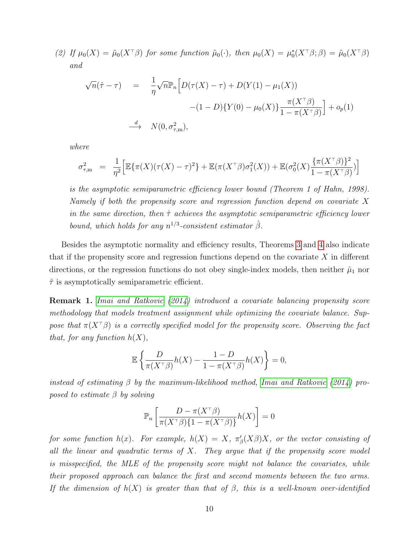(2) If  $\mu_0(X) = \tilde{\mu}_0(X^{\top}\beta)$  for some function  $\tilde{\mu}_0(\cdot)$ , then  $\mu_0(X) = \mu_0^*(X^{\top}\beta; \beta) = \tilde{\mu}_0(X^{\top}\beta)$ and

$$
\sqrt{n}(\hat{\tau} - \tau) = \frac{1}{\eta} \sqrt{n} \mathbb{P}_n \Big[ D(\tau(X) - \tau) + D(Y(1) - \mu_1(X))
$$

$$
-(1 - D)\{Y(0) - \mu_0(X)\} \frac{\pi(X^{\top}\beta)}{1 - \pi(X^{\top}\beta)} \Big] + o_p(1)
$$

$$
\xrightarrow{d} N(0, \sigma_{\tau,m}^2),
$$

where

$$
\sigma_{\tau,m}^2 = \frac{1}{\eta^2} \Big[ \mathbb{E} \{ \pi(X) (\tau(X) - \tau)^2 \} + \mathbb{E} (\pi(X^{\top}\beta) \sigma_1^2(X)) + \mathbb{E} (\sigma_0^2(X) \frac{\{ \pi(X^{\top}\beta) \}^2}{1 - \pi(X^{\top}\beta)} ) \Big]
$$

is the asymptotic semiparametric efficiency lower bound (Theorem 1 of Hahn, 1998). Namely if both the propensity score and regression function depend on covariate X in the same direction, then  $\hat{\tau}$  achieves the asymptotic semiparametric efficiency lower bound, which holds for any  $n^{1/3}$ -consistent estimator  $\hat{\beta}$ .

Besides the asymptotic normality and efficiency results, Theorems [3](#page-8-0) and [4](#page-8-1) also indicate that if the propensity score and regression functions depend on the covariate  $X$  in different directions, or the regression functions do not obey single-index models, then neither  $\hat{\mu}_1$  nor  $\hat{\tau}$  is asymptotically semiparametric efficient.

Remark 1. [Imai and Ratkovic](#page-23-4) [\(2014\)](#page-23-4) introduced a covariate balancing propensity score methodology that models treatment assignment while optimizing the covariate balance. Suppose that  $\pi(X^{\dagger}\beta)$  is a correctly specified model for the propensity score. Observing the fact that, for any function  $h(X)$ ,

$$
\mathbb{E}\left\{\frac{D}{\pi(X^{\top}\beta)}h(X) - \frac{1-D}{1-\pi(X^{\top}\beta)}h(X)\right\} = 0,
$$

instead of estimating  $\beta$  by the maximum-likelihood method, [Imai and Ratkovic](#page-23-4) [\(2014\)](#page-23-4) proposed to estimate  $\beta$  by solving

$$
\mathbb{P}_n\left[\frac{D - \pi(X^\top \beta)}{\pi(X^\top \beta)\{1 - \pi(X^\top \beta)\}} h(X)\right] = 0
$$

for some function  $h(x)$ . For example,  $h(X) = X$ ,  $\pi'_{\beta}(X\beta)X$ , or the vector consisting of all the linear and quadratic terms of  $X$ . They argue that if the propensity score model is misspecified, the MLE of the propensity score might not balance the covariates, while their proposed approach can balance the first and second moments between the two arms. If the dimension of  $h(X)$  is greater than that of  $\beta$ , this is a well-known over-identified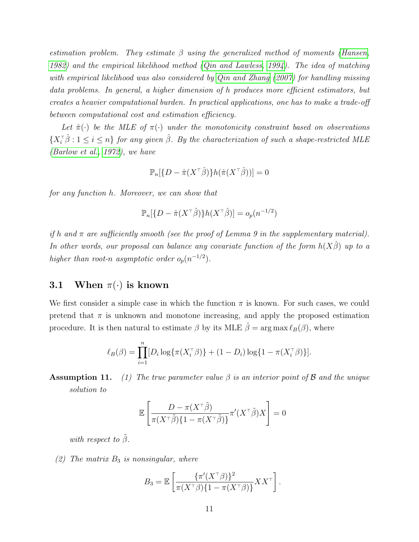estimation problem. They estimate  $\beta$  using the generalized method of moments [\(Hansen,](#page-23-5) [1982\)](#page-23-5) and the empirical likelihood method [\(Qin and Lawless, 1994\)](#page-24-4). The idea of matching with empirical likelihood was also considered by [Qin and Zhang](#page-24-5) [\(2007\)](#page-24-5) for handling missing data problems. In general, a higher dimension of h produces more efficient estimators, but creates a heavier computational burden. In practical applications, one has to make a trade-off between computational cost and estimation efficiency.

Let  $\hat{\pi}(\cdot)$  be the MLE of  $\pi(\cdot)$  under the monotonicity constraint based on observations  $\{X_i^{\dagger} \hat{\beta} : 1 \leq i \leq n\}$  for any given  $\hat{\beta}$ . By the characterization of such a shape-restricted MLE [\(Barlow et al., 1972\)](#page-22-4), we have

$$
\mathbb{P}_n[\{D - \hat{\pi}(X^{\top}\hat{\beta})\}h(\hat{\pi}(X^{\top}\hat{\beta}))] = 0
$$

for any function h. Moreover, we can show that

$$
\mathbb{P}_n[\{D - \hat{\pi}(X^\top \hat{\beta})\} h(X^\top \hat{\beta})] = o_p(n^{-1/2})
$$

if h and  $\pi$  are sufficiently smooth (see the proof of Lemma 9 in the supplementary material). In other words, our proposal can balance any covariate function of the form  $h(X\beta)$  up to a higher than root-n asymptotic order  $o_p(n^{-1/2})$ .

## 3.1 When  $\pi(\cdot)$  is known

We first consider a simple case in which the function  $\pi$  is known. For such cases, we could pretend that  $\pi$  is unknown and monotone increasing, and apply the proposed estimation procedure. It is then natural to estimate  $\beta$  by its MLE  $\hat{\beta} = \arg \max \ell_B(\beta)$ , where

$$
\ell_B(\beta) = \prod_{i=1}^n [D_i \log \{ \pi(X_i^{\top} \beta) \} + (1 - D_i) \log \{ 1 - \pi(X_i^{\top} \beta) \}].
$$

**Assumption 11.** (1) The true parameter value  $\beta$  is an interior point of  $\beta$  and the unique solution to

$$
\mathbb{E}\left[\frac{D-\pi(X^\top\tilde{\beta})}{\pi(X^\top\tilde{\beta})\{1-\pi(X^\top\tilde{\beta})\}}\pi'(X^\top\tilde{\beta})X\right]=0
$$

with respect to  $\tilde{\beta}$ .

(2) The matrix  $B_3$  is nonsingular, where

$$
B_3 = \mathbb{E}\left[\frac{\{\pi'(X^{\top}\beta)\}^2}{\pi(X^{\top}\beta)\{1-\pi(X^{\top}\beta)\}}XX^{\top}\right].
$$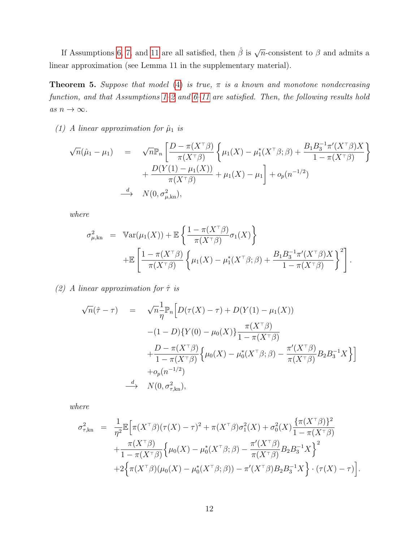If Assumptions [6,](#page-7-0) [7,](#page-7-1) and [11](#page-0-0) are all satisfied, then  $\hat{\beta}$  is  $\sqrt{n}$ -consistent to  $\beta$  and admits a linear approximation (see Lemma 11 in the supplementary material).

<span id="page-11-0"></span>**Theorem 5.** Suppose that model [\(4\)](#page-6-1) is true,  $\pi$  is a known and monotone nondecreasing function, and that Assumptions [1](#page-3-0)[–2](#page-4-0) and [6](#page-7-0)[–11](#page-0-0) are satisfied. Then, the following results hold as  $n \to \infty$ .

(1) A linear approximation for  $\hat{\mu}_1$  is

$$
\sqrt{n}(\hat{\mu}_1 - \mu_1) = \sqrt{n} \mathbb{P}_n \left[ \frac{D - \pi(X^{\top}\beta)}{\pi(X^{\top}\beta)} \left\{ \mu_1(X) - \mu_1^*(X^{\top}\beta; \beta) + \frac{B_1 B_3^{-1} \pi'(X^{\top}\beta) X}{1 - \pi(X^{\top}\beta)} \right\} + \frac{D(Y(1) - \mu_1(X))}{\pi(X^{\top}\beta)} + \mu_1(X) - \mu_1 \right] + o_p(n^{-1/2})
$$
\n
$$
\xrightarrow{d} N(0, \sigma_{\mu, kn}^2),
$$

where

$$
\sigma_{\mu,\text{kn}}^2 = \text{Var}(\mu_1(X)) + \mathbb{E}\left\{\frac{1-\pi(X^{\top}\beta)}{\pi(X^{\top}\beta)}\sigma_1(X)\right\}
$$

$$
+ \mathbb{E}\left[\frac{1-\pi(X^{\top}\beta)}{\pi(X^{\top}\beta)}\left\{\mu_1(X) - \mu_1^*(X^{\top}\beta;\beta) + \frac{B_1B_3^{-1}\pi'(X^{\top}\beta)X}{1-\pi(X^{\top}\beta)}\right\}^2\right].
$$

(2) A linear approximation for  $\hat{\tau}$  is

$$
\sqrt{n}(\hat{\tau} - \tau) = \sqrt{n} \frac{1}{\eta} \mathbb{P}_n \Big[ D(\tau(X) - \tau) + D(Y(1) - \mu_1(X))
$$
  
 
$$
- (1 - D)\{Y(0) - \mu_0(X)\} \frac{\pi(X^{\tau}\beta)}{1 - \pi(X^{\tau}\beta)}
$$
  
 
$$
+ \frac{D - \pi(X^{\tau}\beta)}{1 - \pi(X^{\tau}\beta)} \Big\{ \mu_0(X) - \mu_0^*(X^{\tau}\beta; \beta) - \frac{\pi'(X^{\tau}\beta)}{\pi(X^{\tau}\beta)} B_2 B_3^{-1} X \Big\} \Big]
$$
  
 
$$
+ o_p(n^{-1/2})
$$
  

$$
\xrightarrow{d} N(0, \sigma_{\tau, kn}^2),
$$

where

$$
\sigma_{\tau, kn}^{2} = \frac{1}{\eta^{2}} \mathbb{E} \Big[ \pi (X^{\top} \beta)(\tau(X) - \tau)^{2} + \pi (X^{\top} \beta) \sigma_{1}^{2}(X) + \sigma_{0}^{2}(X) \frac{\{\pi (X^{\top} \beta)\}^{2}}{1 - \pi (X^{\top} \beta)} + \frac{\pi (X^{\top} \beta)}{1 - \pi (X^{\top} \beta)} \Big\{ \mu_{0}(X) - \mu_{0}^{*}(X^{\top} \beta; \beta) - \frac{\pi'(X^{\top} \beta)}{\pi (X^{\top} \beta)} B_{2} B_{3}^{-1} X \Big\}^{2} + 2 \Big\{ \pi (X^{\top} \beta)(\mu_{0}(X) - \mu_{0}^{*}(X^{\top} \beta; \beta)) - \pi'(X^{\top} \beta) B_{2} B_{3}^{-1} X \Big\} \cdot (\tau(X) - \tau) \Big].
$$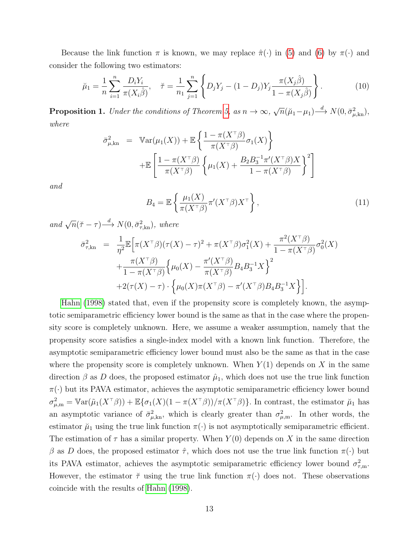Because the link function  $\pi$  is known, we may replace  $\hat{\pi}(\cdot)$  in [\(5\)](#page-7-5) and [\(6\)](#page-7-5) by  $\pi(\cdot)$  and consider the following two estimators:

$$
\breve{\mu}_1 = \frac{1}{n} \sum_{i=1}^n \frac{D_i Y_i}{\pi(X_i \hat{\beta})}, \quad \breve{\tau} = \frac{1}{n_1} \sum_{j=1}^n \left\{ D_j Y_j - (1 - D_j) Y_j \frac{\pi(X_j \hat{\beta})}{1 - \pi(X_j \hat{\beta})} \right\}.
$$
 (10)

**Proposition 1.** Under the conditions of Theorem [5,](#page-11-0) as  $n \to \infty$ , √  $\overline{n}(\breve{\mu}_1 - \mu_1) \stackrel{d}{\longrightarrow} N(0, \bar{\sigma}_{\mu, kn}^2),$ where

$$
\bar{\sigma}_{\mu,\text{kn}}^2 = \text{Var}(\mu_1(X)) + \mathbb{E}\left\{\frac{1-\pi(X^\top \beta)}{\pi(X^\top \beta)}\sigma_1(X)\right\}
$$

$$
+ \mathbb{E}\left[\frac{1-\pi(X^\top \beta)}{\pi(X^\top \beta)}\left\{\mu_1(X) + \frac{B_2 B_3^{-1} \pi'(X^\top \beta)X}{1-\pi(X^\top \beta)}\right\}^2\right]
$$

and

$$
B_4 = \mathbb{E}\left\{\frac{\mu_1(X)}{\pi(X^\top \beta)} \pi'(X^\top \beta) X^\top\right\},\tag{11}
$$

and  $\sqrt{n}(\tilde{\tau}-\tau) \stackrel{d}{\longrightarrow} N(0, \bar{\sigma}_{\tau, kn}^2)$ , where

$$
\bar{\sigma}_{\tau,kn}^2 = \frac{1}{\eta^2} \mathbb{E} \Big[ \pi (X^\top \beta)(\tau(X) - \tau)^2 + \pi (X^\top \beta) \sigma_1^2(X) + \frac{\pi^2 (X^\top \beta)}{1 - \pi (X^\top \beta)} \sigma_0^2(X) \n+ \frac{\pi (X^\top \beta)}{1 - \pi (X^\top \beta)} \Big\{ \mu_0(X) - \frac{\pi'(X^\top \beta)}{\pi (X^\top \beta)} B_4 B_3^{-1} X \Big\}^2 \n+ 2(\tau(X) - \tau) \cdot \Big\{ \mu_0(X) \pi (X^\top \beta) - \pi'(X^\top \beta) B_4 B_3^{-1} X \Big\} \Big].
$$

[Hahn](#page-23-3) [\(1998\)](#page-23-3) stated that, even if the propensity score is completely known, the asymptotic semiparametric efficiency lower bound is the same as that in the case where the propensity score is completely unknown. Here, we assume a weaker assumption, namely that the propensity score satisfies a single-index model with a known link function. Therefore, the asymptotic semiparametric efficiency lower bound must also be the same as that in the case where the propensity score is completely unknown. When  $Y(1)$  depends on X in the same direction  $\beta$  as D does, the proposed estimator  $\hat{\mu}_1$ , which does not use the true link function  $\pi(\cdot)$  but its PAVA estimator, achieves the asymptotic semiparametric efficiency lower bound  $\sigma_{\mu,m}^2 = \mathbb{V}\text{ar}(\tilde{\mu}_1(X^{\top}\beta)) + \mathbb{E}\{\sigma_1(X)(1-\pi(X^{\top}\beta))/\pi(X^{\top}\beta)\}\$ . In contrast, the estimator  $\tilde{\mu}_1$  has an asymptotic variance of  $\bar{\sigma}_{\mu,kin}^2$ , which is clearly greater than  $\sigma_{\mu,m}^2$ . In other words, the estimator  $\mu_1$  using the true link function  $\pi(\cdot)$  is not asymptotically semiparametric efficient. The estimation of  $\tau$  has a similar property. When  $Y(0)$  depends on X in the same direction β as D does, the proposed estimator  $\hat{\tau}$ , which does not use the true link function  $\pi(\cdot)$  but its PAVA estimator, achieves the asymptotic semiparametric efficiency lower bound  $\sigma_{\tau,m}^2$ . However, the estimator  $\breve{\tau}$  using the true link function  $\pi(\cdot)$  does not. These observations coincide with the results of [Hahn](#page-23-3) [\(1998\)](#page-23-3).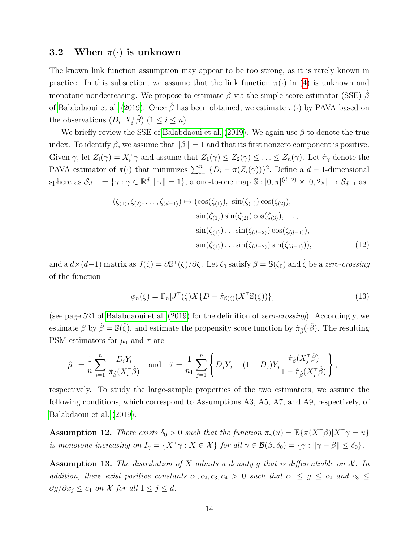### 3.2 When  $\pi(\cdot)$  is unknown

The known link function assumption may appear to be too strong, as it is rarely known in practice. In this subsection, we assume that the link function  $\pi(\cdot)$  in [\(4\)](#page-6-1) is unknown and monotone nondecreasing. We propose to estimate  $\beta$  via the simple score estimator (SSE)  $\beta$ of [Balabdaoui et al.](#page-23-6) [\(2019\)](#page-23-6). Once  $\hat{\beta}$  has been obtained, we estimate  $\pi(\cdot)$  by PAVA based on the observations  $(D_i, X_i^{\dagger} \hat{\beta})$   $(1 \leq i \leq n)$ .

We briefly review the SSE of [Balabdaoui et al.](#page-23-6) [\(2019\)](#page-23-6). We again use  $\beta$  to denote the true index. To identify  $\beta$ , we assume that  $\|\beta\|=1$  and that its first nonzero component is positive. Given  $\gamma$ , let  $Z_i(\gamma) = X_i^{\top} \gamma$  and assume that  $Z_1(\gamma) \leq Z_2(\gamma) \leq \ldots \leq Z_n(\gamma)$ . Let  $\hat{\pi}_{\gamma}$  denote the PAVA estimator of  $\pi(\cdot)$  that minimizes  $\sum_{i=1}^{n} \{D_i - \pi(Z_i(\gamma))\}^2$ . Define a  $d-1$ -dimensional sphere as  $\mathcal{S}_{d-1} = \{ \gamma : \gamma \in \mathbb{R}^d, ||\gamma|| = 1 \}$ , a one-to-one map  $\mathbb{S} : [0, \pi]^{(d-2)} \times [0, 2\pi] \mapsto \mathcal{S}_{d-1}$  as

$$
(\zeta_{(1)}, \zeta_{(2)}, \dots, \zeta_{(d-1)}) \mapsto (\cos(\zeta_{(1)}), \sin(\zeta_{(1)}) \cos(\zeta_{(2)}), \n\sin(\zeta_{(1)}) \sin(\zeta_{(2)}) \cos(\zeta_{(3)}), \dots, \n\sin(\zeta_{(1)}) \dots \sin(\zeta_{(d-2)}) \cos(\zeta_{(d-1)}), \n\sin(\zeta_{(1)}) \dots \sin(\zeta_{(d-2)}) \sin(\zeta_{(d-1)})),
$$
\n(12)

and a  $d \times (d-1)$  matrix as  $J(\zeta) = \partial \mathbb{S}^{\top}(\zeta) / \partial \zeta$ . Let  $\zeta_0$  satisfy  $\beta = \mathbb{S}(\zeta_0)$  and  $\hat{\zeta}$  be a zero-crossing of the function

$$
\phi_n(\zeta) = \mathbb{P}_n[J^\top(\zeta)X\{D - \hat{\pi}_{\mathbb{S}(\zeta)}(X^\top \mathbb{S}(\zeta))\}] \tag{13}
$$

(see page 521 of [Balabdaoui et al.](#page-23-6) [\(2019\)](#page-23-6) for the definition of zero-crossing). Accordingly, we estimate  $\beta$  by  $\hat{\beta} = \mathbb{S}(\hat{\zeta})$ , and estimate the propensity score function by  $\hat{\pi}_{\hat{\beta}}(\cdot\hat{\beta})$ . The resulting PSM estimators for  $\mu_1$  and  $\tau$  are

$$
\hat{\mu}_1 = \frac{1}{n} \sum_{i=1}^n \frac{D_i Y_i}{\hat{\pi}_{\hat{\beta}}(X_i^{\top} \hat{\beta})} \quad \text{and} \quad \hat{\tau} = \frac{1}{n_1} \sum_{j=1}^n \left\{ D_j Y_j - (1 - D_j) Y_j \frac{\hat{\pi}_{\hat{\beta}}(X_j^{\top} \hat{\beta})}{1 - \hat{\pi}_{\hat{\beta}}(X_j^{\top} \hat{\beta})} \right\},
$$

respectively. To study the large-sample properties of the two estimators, we assume the following conditions, which correspond to Assumptions A3, A5, A7, and A9, respectively, of [Balabdaoui et al.](#page-23-6) [\(2019\)](#page-23-6).

<span id="page-13-0"></span>Assumption 12. There exists  $\delta_0 > 0$  such that the function  $\pi_\gamma(u) = \mathbb{E}\{\pi(X^\top \beta)|X^\top \gamma = u\}$ is monotone increasing on  $I_{\gamma} = \{X^{\top} \gamma : X \in \mathcal{X}\}$  for all  $\gamma \in \mathcal{B}(\beta, \delta_0) = \{\gamma : ||\gamma - \beta|| \leq \delta_0\}.$ 

Assumption 13. The distribution of X admits a density g that is differentiable on  $\mathcal{X}$ . In addition, there exist positive constants  $c_1, c_2, c_3, c_4 > 0$  such that  $c_1 \leq g \leq c_2$  and  $c_3 \leq$  $\partial g/\partial x_j \leq c_4$  on X for all  $1 \leq j \leq d$ .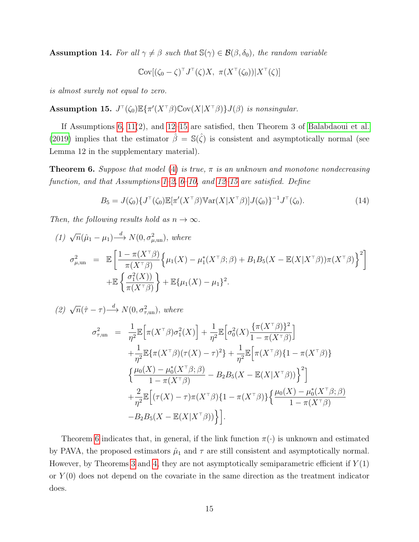**Assumption 14.** For all  $\gamma \neq \beta$  such that  $\mathbb{S}(\gamma) \in \mathcal{B}(\beta, \delta_0)$ , the random variable

$$
\mathbb{C}\mathrm{ov}[(\zeta_0-\zeta)^\top J^\top(\zeta)X, \ \pi(X^\top(\zeta_0))|X^\top(\zeta)]
$$

is almost surely not equal to zero.

<span id="page-14-0"></span>Assumption 15.  $J^{\dagger}(\zeta_0)\mathbb{E}\{\pi'(X^{\dagger}\beta)\mathbb{C}\text{ov}(X|X^{\dagger}\beta)\}J(\beta)$  is nonsingular.

If Assumptions [6,](#page-7-0) [11\(](#page-0-0)2), and [12](#page-13-0)[–15](#page-14-0) are satisfied, then Theorem 3 of [Balabdaoui et al.](#page-23-6) [\(2019\)](#page-23-6) implies that the estimator  $\hat{\beta} = \mathbb{S}(\hat{\zeta})$  is consistent and asymptotically normal (see Lemma 12 in the supplementary material).

<span id="page-14-1"></span>**Theorem 6.** Suppose that model [\(4\)](#page-6-1) is true,  $\pi$  is an unknown and monotone nondecreasing function, and that Assumptions  $1-2$ ,  $6-10$ , and  $12-15$  are satisfied. Define

$$
B_5 = J(\zeta_0) \{ J^\top(\zeta_0) \mathbb{E}[\pi'(X^\top \beta) \mathbb{V}\ar(X|X^\top \beta)] J(\zeta_0) \}^{-1} J^\top(\zeta_0). \tag{14}
$$

Then, the following results hold as  $n \to \infty$ .

$$
(1) \sqrt{n}(\hat{\mu}_1 - \mu_1) \stackrel{d}{\longrightarrow} N(0, \sigma_{\mu, \text{un}}^2), \text{ where}
$$
  
\n
$$
\sigma_{\mu, \text{un}}^2 = \mathbb{E} \left[ \frac{1 - \pi(X^{\top}\beta)}{\pi(X^{\top}\beta)} \left\{ \mu_1(X) - \mu_1^*(X^{\top}\beta; \beta) + B_1 B_5 (X - \mathbb{E}(X | X^{\top}\beta)) \pi(X^{\top}\beta) \right\}^2 \right]
$$
  
\n
$$
+ \mathbb{E} \left\{ \frac{\sigma_1^2(X)}{\pi(X^{\top}\beta)} \right\} + \mathbb{E} \{ \mu_1(X) - \mu_1 \}^2.
$$

(2)  $\sqrt{n}(\hat{\tau}-\tau) \stackrel{d}{\longrightarrow} N(0, \sigma_{\tau, \text{un}}^2)$ , where

$$
\sigma_{\tau,\text{un}}^2 = \frac{1}{\eta^2} \mathbb{E} \Big[ \pi (X^{\top} \beta) \sigma_1^2(X) \Big] + \frac{1}{\eta^2} \mathbb{E} \Big[ \sigma_0^2(X) \frac{\{ \pi (X^{\top} \beta) \}^2}{1 - \pi (X^{\top} \beta)} \Big] \n+ \frac{1}{\eta^2} \mathbb{E} \{ \pi (X^{\top} \beta) (\tau (X) - \tau)^2 \} + \frac{1}{\eta^2} \mathbb{E} \Big[ \pi (X^{\top} \beta) \{ 1 - \pi (X^{\top} \beta) \} \n\Big\{ \frac{\mu_0(X) - \mu_0^*(X^{\top} \beta; \beta)}{1 - \pi (X^{\top} \beta)} - B_2 B_5(X - \mathbb{E}(X | X^{\top} \beta)) \Big\}^2 \Big] \n+ \frac{2}{\eta^2} \mathbb{E} \Big[ (\tau (X) - \tau) \pi (X^{\top} \beta) \{ 1 - \pi (X^{\top} \beta) \} \Big\{ \frac{\mu_0(X) - \mu_0^*(X^{\top} \beta; \beta)}{1 - \pi (X^{\top} \beta)} - B_2 B_5(X - \mathbb{E}(X | X^{\top} \beta)) \Big\} \Big].
$$

Theorem [6](#page-14-1) indicates that, in general, if the link function  $\pi(\cdot)$  is unknown and estimated by PAVA, the proposed estimators  $\hat{\mu}_1$  and  $\tau$  are still consistent and asymptotically normal. However, by Theorems [3](#page-8-0) and [4,](#page-8-1) they are not asymptotically semiparametric efficient if  $Y(1)$ or  $Y(0)$  does not depend on the covariate in the same direction as the treatment indicator does.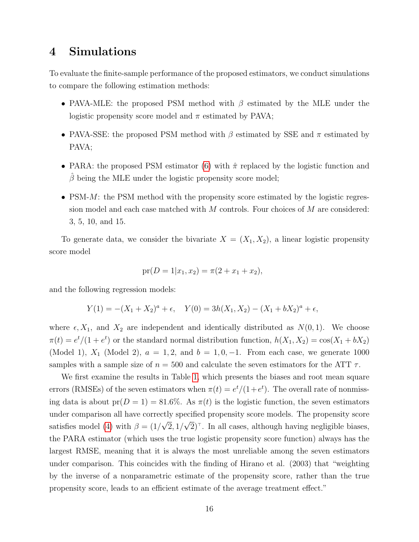# 4 Simulations

To evaluate the finite-sample performance of the proposed estimators, we conduct simulations to compare the following estimation methods:

- PAVA-MLE: the proposed PSM method with  $\beta$  estimated by the MLE under the logistic propensity score model and  $\pi$  estimated by PAVA;
- PAVA-SSE: the proposed PSM method with  $\beta$  estimated by SSE and  $\pi$  estimated by PAVA;
- PARA: the proposed PSM estimator [\(6\)](#page-7-5) with  $\hat{\pi}$  replaced by the logistic function and  $\hat{\beta}$  being the MLE under the logistic propensity score model;
- PSM- $M$ : the PSM method with the propensity score estimated by the logistic regression model and each case matched with M controls. Four choices of M are considered: 3, 5, 10, and 15.

To generate data, we consider the bivariate  $X = (X_1, X_2)$ , a linear logistic propensity score model

$$
pr(D = 1 | x_1, x_2) = \pi(2 + x_1 + x_2),
$$

and the following regression models:

$$
Y(1) = -(X_1 + X_2)^a + \epsilon, \quad Y(0) = 3h(X_1, X_2) - (X_1 + bX_2)^a + \epsilon,
$$

where  $\epsilon$ ,  $X_1$ , and  $X_2$  are independent and identically distributed as  $N(0, 1)$ . We choose  $\pi(t) = e^t/(1+e^t)$  or the standard normal distribution function,  $h(X_1, X_2) = \cos(X_1 + bX_2)$ (Model 1),  $X_1$  (Model 2),  $a = 1, 2$ , and  $b = 1, 0, -1$ . From each case, we generate 1000 samples with a sample size of  $n = 500$  and calculate the seven estimators for the ATT  $\tau$ .

We first examine the results in Table [1,](#page-25-0) which presents the biases and root mean square errors (RMSEs) of the seven estimators when  $\pi(t) = e^t/(1+e^t)$ . The overall rate of nonmissing data is about  $pr(D = 1) = 81.6\%$ . As  $\pi(t)$  is the logistic function, the seven estimators under comparison all have correctly specified propensity score models. The propensity score satisfies model [\(4\)](#page-6-1) with  $\beta = (1/$ √  $2,1/$ √  $2$ <sup> $\top$ </sup>. In all cases, although having negligible biases, the PARA estimator (which uses the true logistic propensity score function) always has the largest RMSE, meaning that it is always the most unreliable among the seven estimators under comparison. This coincides with the finding of Hirano et al. (2003) that "weighting by the inverse of a nonparametric estimate of the propensity score, rather than the true propensity score, leads to an efficient estimate of the average treatment effect."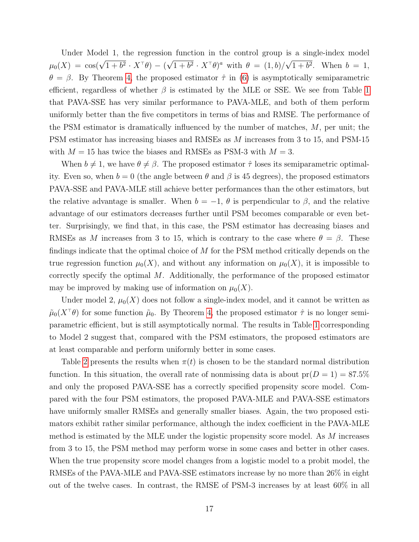Under Model 1, the regression function in the control group is a single-index model  $\mu_0(X) = \cos(\sqrt{1+b^2} \cdot X^{\top}\theta) - ($ √  $\overline{1+b^2} \cdot X^{\dagger} \theta)^a$  with  $\theta = (1, b)/a$ √  $1+b^2$ . When  $b=1$ ,  $\theta = \beta$ . By Theorem [4,](#page-8-1) the proposed estimator  $\hat{\tau}$  in [\(6\)](#page-7-5) is asymptotically semiparametric efficient, regardless of whether  $\beta$  is estimated by the MLE or SSE. We see from Table [1](#page-25-0) that PAVA-SSE has very similar performance to PAVA-MLE, and both of them perform uniformly better than the five competitors in terms of bias and RMSE. The performance of the PSM estimator is dramatically influenced by the number of matches,  $M$ , per unit; the PSM estimator has increasing biases and RMSEs as M increases from 3 to 15, and PSM-15 with  $M = 15$  has twice the biases and RMSEs as PSM-3 with  $M = 3$ .

When  $b \neq 1$ , we have  $\theta \neq \beta$ . The proposed estimator  $\hat{\tau}$  loses its semiparametric optimality. Even so, when  $b = 0$  (the angle between  $\theta$  and  $\beta$  is 45 degrees), the proposed estimators PAVA-SSE and PAVA-MLE still achieve better performances than the other estimators, but the relative advantage is smaller. When  $b = -1$ ,  $\theta$  is perpendicular to  $\beta$ , and the relative advantage of our estimators decreases further until PSM becomes comparable or even better. Surprisingly, we find that, in this case, the PSM estimator has decreasing biases and RMSEs as M increases from 3 to 15, which is contrary to the case where  $\theta = \beta$ . These findings indicate that the optimal choice of M for the PSM method critically depends on the true regression function  $\mu_0(X)$ , and without any information on  $\mu_0(X)$ , it is impossible to correctly specify the optimal  $M$ . Additionally, the performance of the proposed estimator may be improved by making use of information on  $\mu_0(X)$ .

Under model 2,  $\mu_0(X)$  does not follow a single-index model, and it cannot be written as  $\tilde{\mu}_0(X^{\dagger} \theta)$  for some function  $\tilde{\mu}_0$ . By Theorem [4,](#page-8-1) the proposed estimator  $\hat{\tau}$  is no longer semiparametric efficient, but is still asymptotically normal. The results in Table [1](#page-25-0) corresponding to Model 2 suggest that, compared with the PSM estimators, the proposed estimators are at least comparable and perform uniformly better in some cases.

Table [2](#page-26-0) presents the results when  $\pi(t)$  is chosen to be the standard normal distribution function. In this situation, the overall rate of nonmissing data is about  $pr(D = 1) = 87.5\%$ and only the proposed PAVA-SSE has a correctly specified propensity score model. Compared with the four PSM estimators, the proposed PAVA-MLE and PAVA-SSE estimators have uniformly smaller RMSEs and generally smaller biases. Again, the two proposed estimators exhibit rather similar performance, although the index coefficient in the PAVA-MLE method is estimated by the MLE under the logistic propensity score model. As M increases from 3 to 15, the PSM method may perform worse in some cases and better in other cases. When the true propensity score model changes from a logistic model to a probit model, the RMSEs of the PAVA-MLE and PAVA-SSE estimators increase by no more than 26% in eight out of the twelve cases. In contrast, the RMSE of PSM-3 increases by at least 60% in all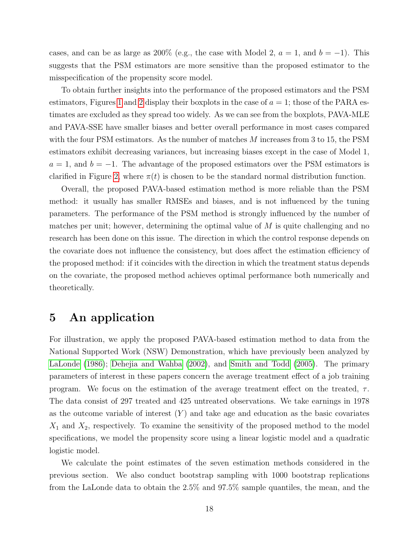cases, and can be as large as 200% (e.g., the case with Model 2,  $a = 1$ , and  $b = -1$ ). This suggests that the PSM estimators are more sensitive than the proposed estimator to the misspecification of the propensity score model.

To obtain further insights into the performance of the proposed estimators and the PSM estimators, Figures [1](#page-18-0) and [2](#page-19-0) display their boxplots in the case of  $a = 1$ ; those of the PARA estimates are excluded as they spread too widely. As we can see from the boxplots, PAVA-MLE and PAVA-SSE have smaller biases and better overall performance in most cases compared with the four PSM estimators. As the number of matches  $M$  increases from 3 to 15, the PSM estimators exhibit decreasing variances, but increasing biases except in the case of Model 1,  $a = 1$ , and  $b = -1$ . The advantage of the proposed estimators over the PSM estimators is clarified in Figure [2,](#page-19-0) where  $\pi(t)$  is chosen to be the standard normal distribution function.

Overall, the proposed PAVA-based estimation method is more reliable than the PSM method: it usually has smaller RMSEs and biases, and is not influenced by the tuning parameters. The performance of the PSM method is strongly influenced by the number of matches per unit; however, determining the optimal value of  $M$  is quite challenging and no research has been done on this issue. The direction in which the control response depends on the covariate does not influence the consistency, but does affect the estimation efficiency of the proposed method: if it coincides with the direction in which the treatment status depends on the covariate, the proposed method achieves optimal performance both numerically and theoretically.

# 5 An application

For illustration, we apply the proposed PAVA-based estimation method to data from the National Supported Work (NSW) Demonstration, which have previously been analyzed by [LaLonde](#page-23-7) [\(1986\)](#page-23-7); [Dehejia and Wahba](#page-23-8) [\(2002\)](#page-23-8), and [Smith and Todd](#page-24-6) [\(2005\)](#page-24-6). The primary parameters of interest in these papers concern the average treatment effect of a job training program. We focus on the estimation of the average treatment effect on the treated,  $\tau$ . The data consist of 297 treated and 425 untreated observations. We take earnings in 1978 as the outcome variable of interest  $(Y)$  and take age and education as the basic covariates  $X_1$  and  $X_2$ , respectively. To examine the sensitivity of the proposed method to the model specifications, we model the propensity score using a linear logistic model and a quadratic logistic model.

We calculate the point estimates of the seven estimation methods considered in the previous section. We also conduct bootstrap sampling with 1000 bootstrap replications from the LaLonde data to obtain the 2.5% and 97.5% sample quantiles, the mean, and the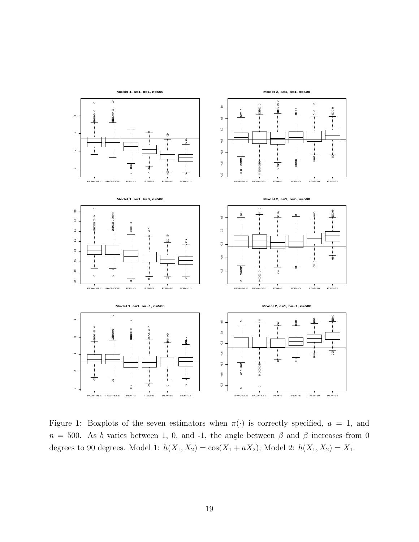

<span id="page-18-0"></span>Figure 1: Boxplots of the seven estimators when  $\pi(\cdot)$  is correctly specified,  $a = 1$ , and  $n = 500$ . As b varies between 1, 0, and -1, the angle between  $\beta$  and  $\beta$  increases from 0 degrees to 90 degrees. Model 1:  $h(X_1, X_2) = \cos(X_1 + aX_2)$ ; Model 2:  $h(X_1, X_2) = X_1$ .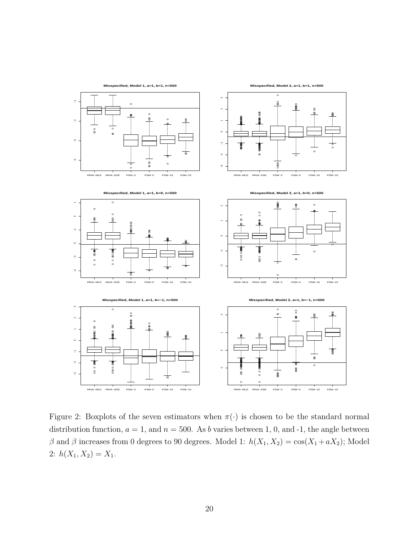

<span id="page-19-0"></span>Figure 2: Boxplots of the seven estimators when  $\pi(\cdot)$  is chosen to be the standard normal distribution function,  $a = 1$ , and  $n = 500$ . As b varies between 1, 0, and -1, the angle between β and β increases from 0 degrees to 90 degrees. Model 1:  $h(X_1, X_2) = \cos(X_1 + aX_2)$ ; Model 2:  $h(X_1, X_2) = X_1$ .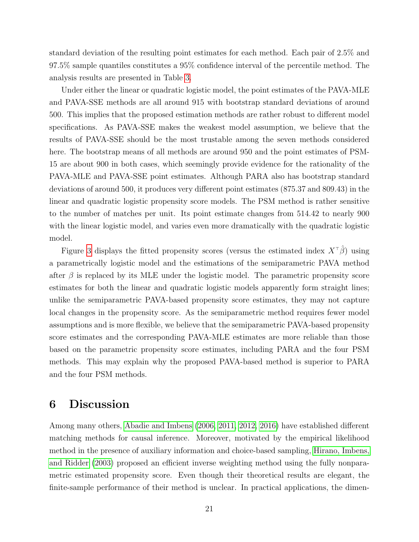standard deviation of the resulting point estimates for each method. Each pair of 2.5% and 97.5% sample quantiles constitutes a 95% confidence interval of the percentile method. The analysis results are presented in Table [3.](#page-27-0)

Under either the linear or quadratic logistic model, the point estimates of the PAVA-MLE and PAVA-SSE methods are all around 915 with bootstrap standard deviations of around 500. This implies that the proposed estimation methods are rather robust to different model specifications. As PAVA-SSE makes the weakest model assumption, we believe that the results of PAVA-SSE should be the most trustable among the seven methods considered here. The bootstrap means of all methods are around 950 and the point estimates of PSM-15 are about 900 in both cases, which seemingly provide evidence for the rationality of the PAVA-MLE and PAVA-SSE point estimates. Although PARA also has bootstrap standard deviations of around 500, it produces very different point estimates (875.37 and 809.43) in the linear and quadratic logistic propensity score models. The PSM method is rather sensitive to the number of matches per unit. Its point estimate changes from 514.42 to nearly 900 with the linear logistic model, and varies even more dramatically with the quadratic logistic model.

Figure [3](#page-21-0) displays the fitted propensity scores (versus the estimated index  $X^{\dagger}(\hat{\beta})$ ) using a parametrically logistic model and the estimations of the semiparametric PAVA method after  $\beta$  is replaced by its MLE under the logistic model. The parametric propensity score estimates for both the linear and quadratic logistic models apparently form straight lines; unlike the semiparametric PAVA-based propensity score estimates, they may not capture local changes in the propensity score. As the semiparametric method requires fewer model assumptions and is more flexible, we believe that the semiparametric PAVA-based propensity score estimates and the corresponding PAVA-MLE estimates are more reliable than those based on the parametric propensity score estimates, including PARA and the four PSM methods. This may explain why the proposed PAVA-based method is superior to PARA and the four PSM methods.

# 6 Discussion

Among many others, [Abadie and Imbens](#page-22-0) [\(2006,](#page-22-0) [2011,](#page-22-5) [2012,](#page-22-1) [2016\)](#page-22-2) have established different matching methods for causal inference. Moreover, motivated by the empirical likelihood method in the presence of auxiliary information and choice-based sampling, [Hirano, Imbens,](#page-23-2) [and Ridder](#page-23-2) [\(2003\)](#page-23-2) proposed an efficient inverse weighting method using the fully nonparametric estimated propensity score. Even though their theoretical results are elegant, the finite-sample performance of their method is unclear. In practical applications, the dimen-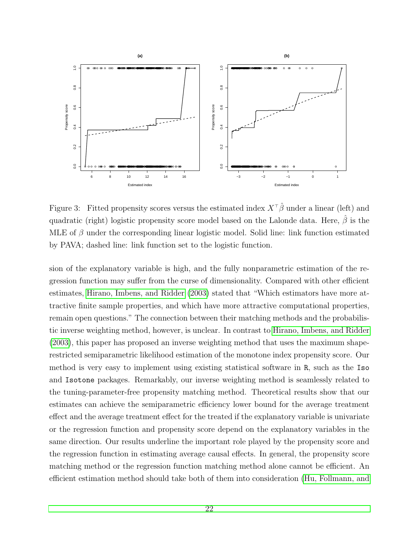

<span id="page-21-0"></span>Figure 3: Fitted propensity scores versus the estimated index  $X^{\dagger} \hat{\beta}$  under a linear (left) and quadratic (right) logistic propensity score model based on the Lalonde data. Here,  $\beta$  is the MLE of  $\beta$  under the corresponding linear logistic model. Solid line: link function estimated by PAVA; dashed line: link function set to the logistic function.

sion of the explanatory variable is high, and the fully nonparametric estimation of the regression function may suffer from the curse of dimensionality. Compared with other efficient estimates, [Hirano, Imbens, and Ridder](#page-23-2) [\(2003\)](#page-23-2) stated that "Which estimators have more attractive finite sample properties, and which have more attractive computational properties, remain open questions." The connection between their matching methods and the probabilistic inverse weighting method, however, is unclear. In contrast to [Hirano, Imbens, and Ridder](#page-23-2) [\(2003\)](#page-23-2), this paper has proposed an inverse weighting method that uses the maximum shaperestricted semiparametric likelihood estimation of the monotone index propensity score. Our method is very easy to implement using existing statistical software in R, such as the Iso and Isotone packages. Remarkably, our inverse weighting method is seamlessly related to the tuning-parameter-free propensity matching method. Theoretical results show that our estimates can achieve the semiparametric efficiency lower bound for the average treatment effect and the average treatment effect for the treated if the explanatory variable is univariate or the regression function and propensity score depend on the explanatory variables in the same direction. Our results underline the important role played by the propensity score and the regression function in estimating average causal effects. In general, the propensity score matching method or the regression function matching method alone cannot be efficient. An efficient estimation method should take both of them into consideration [\(Hu, Follmann, and](#page-23-9)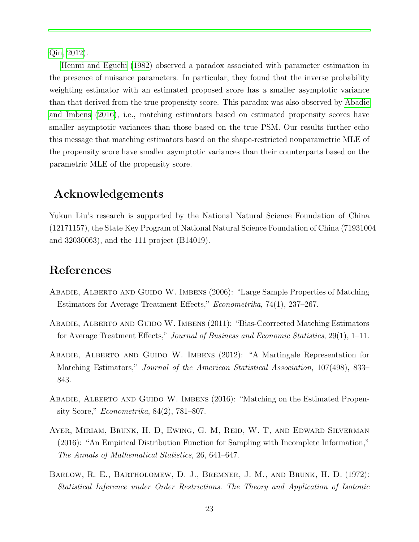[Qin, 2012\)](#page-23-9).

[Henmi and Eguchi](#page-23-10) [\(1982\)](#page-23-10) observed a paradox associated with parameter estimation in the presence of nuisance parameters. In particular, they found that the inverse probability weighting estimator with an estimated proposed score has a smaller asymptotic variance than that derived from the true propensity score. This paradox was also observed by [Abadie](#page-22-2) [and Imbens](#page-22-2) [\(2016\)](#page-22-2), i.e., matching estimators based on estimated propensity scores have smaller asymptotic variances than those based on the true PSM. Our results further echo this message that matching estimators based on the shape-restricted nonparametric MLE of the propensity score have smaller asymptotic variances than their counterparts based on the parametric MLE of the propensity score.

# Acknowledgements

Yukun Liu's research is supported by the National Natural Science Foundation of China (12171157), the State Key Program of National Natural Science Foundation of China (71931004 and 32030063), and the 111 project (B14019).

# References

- <span id="page-22-0"></span>ABADIE, ALBERTO AND GUIDO W. IMBENS (2006): "Large Sample Properties of Matching Estimators for Average Treatment Effects," Econometrika, 74(1), 237–267.
- <span id="page-22-5"></span>ABADIE, ALBERTO AND GUIDO W. IMBENS (2011): "Bias-Ccorrected Matching Estimators for Average Treatment Effects," Journal of Business and Economic Statistics, 29(1), 1–11.
- <span id="page-22-1"></span>Abadie, Alberto and Guido W. Imbens (2012): "A Martingale Representation for Matching Estimators," Journal of the American Statistical Association, 107(498), 833– 843.
- <span id="page-22-2"></span>Abadie, Alberto and Guido W. Imbens (2016): "Matching on the Estimated Propensity Score," Econometrika, 84(2), 781–807.
- <span id="page-22-3"></span>Ayer, Miriam, Brunk, H. D, Ewing, G. M, Reid, W. T, and Edward Silverman (2016): "An Empirical Distribution Function for Sampling with Incomplete Information," The Annals of Mathematical Statistics, 26, 641–647.
- <span id="page-22-4"></span>Barlow, R. E., Bartholomew, D. J., Bremner, J. M., and Brunk, H. D. (1972): Statistical Inference under Order Restrictions. The Theory and Application of Isotonic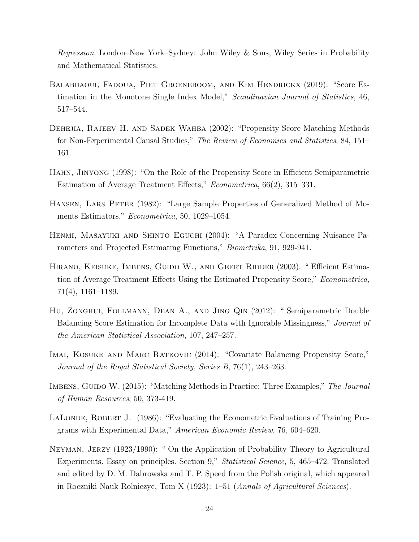Regression. London–New York–Sydney: John Wiley & Sons, Wiley Series in Probability and Mathematical Statistics.

- <span id="page-23-6"></span>Balabdaoui, Fadoua, Piet Groeneboom, and Kim Hendrickx (2019): "Score Estimation in the Monotone Single Index Model," Scandinavian Journal of Statistics, 46, 517–544.
- <span id="page-23-8"></span>Dehejia, Rajeev H. and Sadek Wahba (2002): "Propensity Score Matching Methods for Non-Experimental Causal Studies," The Review of Economics and Statistics, 84, 151– 161.
- <span id="page-23-3"></span>Hahn, Jinyong (1998): "On the Role of the Propensity Score in Efficient Semiparametric Estimation of Average Treatment Effects," Econometrica, 66(2), 315–331.
- <span id="page-23-5"></span>HANSEN, LARS PETER (1982): "Large Sample Properties of Generalized Method of Moments Estimators," Econometrica, 50, 1029–1054.
- <span id="page-23-10"></span>Henmi, Masayuki and Shinto Eguchi (2004): "A Paradox Concerning Nuisance Parameters and Projected Estimating Functions," Biometrika, 91, 929-941.
- <span id="page-23-2"></span>HIRANO, KEISUKE, IMBENS, GUIDO W., AND GEERT RIDDER (2003): "Efficient Estimation of Average Treatment Effects Using the Estimated Propensity Score," Econometrica, 71(4), 1161–1189.
- <span id="page-23-9"></span>Hu, Zonghui, Follmann, Dean A., and Jing Qin (2012): " Semiparametric Double Balancing Score Estimation for Incomplete Data with Ignorable Missingness," *Journal of* the American Statistical Association, 107, 247–257.
- <span id="page-23-4"></span>Imai, Kosuke and Marc Ratkovic (2014): "Covariate Balancing Propensity Score," Journal of the Royal Statistical Society, Series B, 76(1), 243–263.
- <span id="page-23-0"></span>IMBENS, GUIDO W. (2015): "Matching Methods in Practice: Three Examples," The Journal of Human Resources, 50, 373-419.
- <span id="page-23-7"></span>LALONDE, ROBERT J. (1986): "Evaluating the Econometric Evaluations of Training Programs with Experimental Data," American Economic Review, 76, 604–620.
- <span id="page-23-1"></span>Neyman, Jerzy (1923/1990): " On the Application of Probability Theory to Agricultural Experiments. Essay on principles. Section 9," Statistical Science, 5, 465–472. Translated and edited by D. M. Dabrowska and T. P. Speed from the Polish original, which appeared in Roczniki Nauk Rolniczyc, Tom X (1923): 1–51 (Annals of Agricultural Sciences).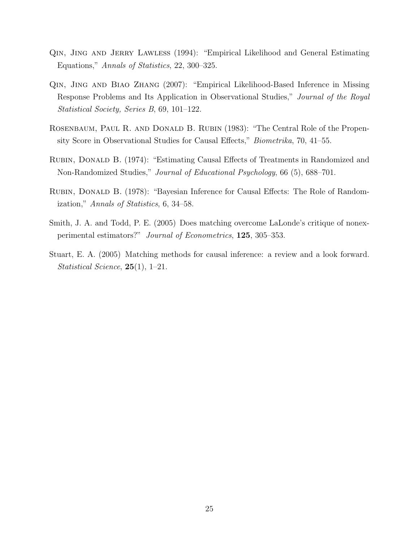- <span id="page-24-4"></span>Qin, Jing and Jerry Lawless (1994): "Empirical Likelihood and General Estimating Equations," Annals of Statistics, 22, 300–325.
- <span id="page-24-5"></span>Qin, Jing and Biao Zhang (2007): "Empirical Likelihood-Based Inference in Missing Response Problems and Its Application in Observational Studies," Journal of the Royal Statistical Society, Series B, 69, 101–122.
- <span id="page-24-1"></span>Rosenbaum, Paul R. and Donald B. Rubin (1983): "The Central Role of the Propensity Score in Observational Studies for Causal Effects," Biometrika, 70, 41–55.
- <span id="page-24-2"></span>Rubin, Donald B. (1974): "Estimating Causal Effects of Treatments in Randomized and Non-Randomized Studies," Journal of Educational Psychology, 66 (5), 688–701.
- <span id="page-24-3"></span>RUBIN, DONALD B. (1978): "Bayesian Inference for Causal Effects: The Role of Randomization," Annals of Statistics, 6, 34–58.
- <span id="page-24-6"></span>Smith, J. A. and Todd, P. E. (2005) Does matching overcome LaLonde's critique of nonexperimental estimators?" Journal of Econometrics, 125, 305–353.
- <span id="page-24-0"></span>Stuart, E. A. (2005) Matching methods for causal inference: a review and a look forward. Statistical Science, 25(1), 1–21.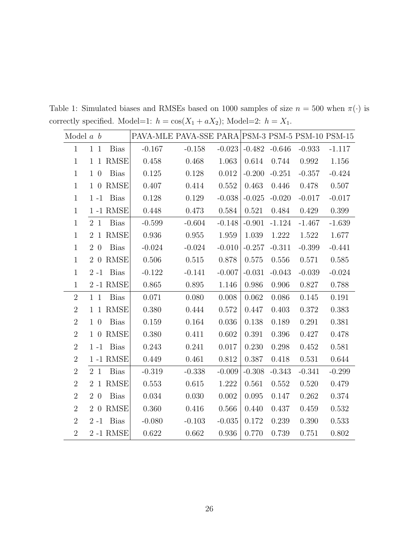| Model $a \, b$ |        |         |              | PAVA-MLE PAVA-SSE PARA PSM-3 PSM-5 PSM-10 PSM-15 |          |          |          |          |          |          |
|----------------|--------|---------|--------------|--------------------------------------------------|----------|----------|----------|----------|----------|----------|
| $\mathbf{1}$   | $1\,1$ |         | <b>Bias</b>  | $-0.167$                                         | $-0.158$ | $-0.023$ | $-0.482$ | $-0.646$ | $-0.933$ | $-1.117$ |
| $\mathbf{1}$   |        |         | 1 1 RMSE     | 0.458                                            | 0.468    | 1.063    | 0.614    | 0.744    | 0.992    | 1.156    |
| $\mathbf{1}$   | $1\,0$ |         | <b>Bias</b>  | 0.125                                            | 0.128    | 0.012    | $-0.200$ | $-0.251$ | $-0.357$ | $-0.424$ |
| $\mathbf{1}$   |        | $1\,0$  | <b>RMSE</b>  | 0.407                                            | 0.414    | 0.552    | 0.463    | 0.446    | 0.478    | 0.507    |
| $\mathbf{1}$   |        | $1 - 1$ | <b>Bias</b>  | 0.128                                            | 0.129    | $-0.038$ | $-0.025$ | $-0.020$ | $-0.017$ | $-0.017$ |
| $\mathbf{1}$   |        |         | 1 -1 RMSE    | 0.448                                            | 0.473    | 0.584    | 0.521    | 0.484    | 0.429    | 0.399    |
| $\mathbf{1}$   |        | 2 1     | <b>Bias</b>  | $-0.599$                                         | $-0.604$ | $-0.148$ | $-0.901$ | $-1.124$ | $-1.467$ | $-1.639$ |
| $\mathbf{1}$   |        |         | 2 1 RMSE     | 0.936                                            | 0.955    | 1.959    | 1.039    | 1.222    | 1.522    | 1.677    |
| $\mathbf{1}$   | 2 0    |         | <b>Bias</b>  | $-0.024$                                         | $-0.024$ | $-0.010$ | $-0.257$ | $-0.311$ | $-0.399$ | $-0.441$ |
| $\mathbf{1}$   |        |         | 2 0 RMSE     | 0.506                                            | 0.515    | 0.878    | 0.575    | 0.556    | 0.571    | 0.585    |
| $\mathbf{1}$   |        | $2 - 1$ | Bias         | $-0.122$                                         | $-0.141$ | $-0.007$ | $-0.031$ | $-0.043$ | $-0.039$ | $-0.024$ |
| $\mathbf{1}$   |        |         | 2-1 RMSE     | 0.865                                            | 0.895    | 1.146    | 0.986    | 0.906    | 0.827    | 0.788    |
| $\overline{2}$ | $1\,1$ |         | <b>Bias</b>  | 0.071                                            | 0.080    | 0.008    | 0.062    | 0.086    | 0.145    | 0.191    |
| $\overline{2}$ |        |         | 1 1 RMSE     | 0.380                                            | 0.444    | 0.572    | 0.447    | 0.403    | 0.372    | 0.383    |
| $\overline{2}$ | $1\,0$ |         | <b>Bias</b>  | 0.159                                            | 0.164    | 0.036    | 0.138    | 0.189    | 0.291    | 0.381    |
| $\overline{2}$ |        | 1 0     | RMSE         | 0.380                                            | 0.411    | 0.602    | 0.391    | 0.396    | 0.427    | 0.478    |
| $\overline{2}$ |        |         | $1 - 1$ Bias | 0.243                                            | 0.241    | 0.017    | 0.230    | 0.298    | 0.452    | 0.581    |
| $\overline{2}$ |        |         | 1-1 RMSE     | 0.449                                            | 0.461    | 0.812    | 0.387    | 0.418    | 0.531    | 0.644    |
| $\overline{2}$ | 2 1    |         | <b>Bias</b>  | $-0.319$                                         | $-0.338$ | $-0.009$ | $-0.308$ | $-0.343$ | $-0.341$ | $-0.299$ |
| $\overline{2}$ |        |         | 2 1 RMSE     | 0.553                                            | 0.615    | 1.222    | 0.561    | 0.552    | 0.520    | 0.479    |
| $\overline{2}$ | 2 0    |         | <b>Bias</b>  | 0.034                                            | 0.030    | 0.002    | 0.095    | 0.147    | 0.262    | 0.374    |
| $\overline{2}$ |        | 2 0     | RMSE         | 0.360                                            | 0.416    | 0.566    | 0.440    | 0.437    | 0.459    | 0.532    |
| $\overline{2}$ |        | $2 - 1$ | <b>Bias</b>  | $-0.080$                                         | $-0.103$ | $-0.035$ | 0.172    | 0.239    | 0.390    | 0.533    |
| $\overline{2}$ |        |         | 2-1 RMSE     | 0.622                                            | 0.662    | 0.936    | 0.770    | 0.739    | 0.751    | 0.802    |

<span id="page-25-0"></span>Table 1: Simulated biases and RMSEs based on 1000 samples of size  $n = 500$  when  $\pi(\cdot)$  is correctly specified. Model=1:  $h = \cos(X_1 + aX_2)$ ; Model=2:  $h = X_1$ .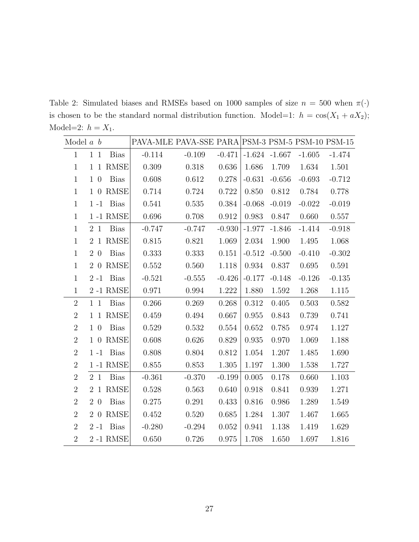<span id="page-26-0"></span>Table 2: Simulated biases and RMSEs based on 1000 samples of size  $n = 500$  when  $\pi(\cdot)$ is chosen to be the standard normal distribution function. Model=1:  $h = \cos(X_1 + aX_2)$ ; Model=2:  $h = X_1$ .

| Model $a \, b$ |         |             | PAVA-MLE PAVA-SSE PARA PSM-3 PSM-5 PSM-10 PSM-15 |          |          |                 |          |          |          |
|----------------|---------|-------------|--------------------------------------------------|----------|----------|-----------------|----------|----------|----------|
| $\mathbf{1}$   | $1\,1$  | <b>Bias</b> | $-0.114$                                         | $-0.109$ | $-0.471$ | $-1.624 -1.667$ |          | $-1.605$ | $-1.474$ |
| $\mathbf{1}$   |         | 1 1 RMSE    | 0.309                                            | 0.318    | 0.636    | 1.686           | 1.709    | 1.634    | 1.501    |
| $\mathbf{1}$   | $1\,0$  | <b>Bias</b> | 0.608                                            | 0.612    | 0.278    | $-0.631$        | $-0.656$ | $-0.693$ | $-0.712$ |
| $\mathbf{1}$   |         | 1 0 RMSE    | 0.714                                            | 0.724    | 0.722    | 0.850           | 0.812    | 0.784    | 0.778    |
| $\mathbf{1}$   | $1 - 1$ | <b>Bias</b> | 0.541                                            | 0.535    | 0.384    | $-0.068$        | $-0.019$ | $-0.022$ | $-0.019$ |
| $\mathbf{1}$   |         | 1-1 RMSE    | 0.696                                            | 0.708    | 0.912    | 0.983           | 0.847    | 0.660    | 0.557    |
| $\mathbf{1}$   | 2 1     | <b>Bias</b> | $-0.747$                                         | $-0.747$ | $-0.930$ | $-1.977$        | $-1.846$ | $-1.414$ | $-0.918$ |
| $\mathbf{1}$   |         | 2 1 RMSE    | 0.815                                            | 0.821    | 1.069    | 2.034           | 1.900    | 1.495    | 1.068    |
| $\mathbf{1}$   | $2\,0$  | <b>Bias</b> | 0.333                                            | 0.333    | 0.151    | $-0.512$        | $-0.500$ | $-0.410$ | $-0.302$ |
| $\mathbf{1}$   |         | 2 0 RMSE    | 0.552                                            | 0.560    | 1.118    | 0.934           | 0.837    | 0.695    | 0.591    |
| $\mathbf{1}$   | $2 - 1$ | Bias        | $-0.521$                                         | $-0.555$ | $-0.426$ | $-0.177$        | $-0.148$ | $-0.126$ | $-0.135$ |
| $\mathbf{1}$   |         | 2-1 RMSE    | 0.971                                            | 0.994    | 1.222    | 1.880           | 1.592    | 1.268    | 1.115    |
| $\overline{2}$ | $1\,1$  | <b>Bias</b> | 0.266                                            | 0.269    | 0.268    | 0.312           | 0.405    | 0.503    | 0.582    |
| $\overline{2}$ |         | 1 1 RMSE    | 0.459                                            | 0.494    | 0.667    | 0.955           | 0.843    | 0.739    | 0.741    |
| $\overline{2}$ | $1\,0$  | <b>Bias</b> | 0.529                                            | 0.532    | 0.554    | 0.652           | 0.785    | 0.974    | 1.127    |
| $\overline{2}$ |         | 1 0 RMSE    | 0.608                                            | 0.626    | 0.829    | 0.935           | 0.970    | 1.069    | 1.188    |
| $\overline{2}$ | $1 - 1$ | Bias        | 0.808                                            | 0.804    | 0.812    | 1.054           | 1.207    | 1.485    | 1.690    |
| $\overline{2}$ |         | 1-1 RMSE    | 0.855                                            | 0.853    | 1.305    | 1.197           | 1.300    | 1.538    | 1.727    |
| $\overline{2}$ | 2 1     | <b>Bias</b> | $-0.361$                                         | $-0.370$ | $-0.199$ | 0.005           | 0.178    | 0.660    | 1.103    |
| $\overline{2}$ |         | 2 1 RMSE    | 0.528                                            | 0.563    | 0.640    | 0.918           | 0.841    | 0.939    | 1.271    |
| $\overline{2}$ | $2\,0$  | <b>Bias</b> | 0.275                                            | 0.291    | 0.433    | 0.816           | 0.986    | 1.289    | 1.549    |
| $\overline{2}$ |         | 2 0 RMSE    | 0.452                                            | 0.520    | 0.685    | 1.284           | 1.307    | 1.467    | 1.665    |
| $\overline{2}$ | $2 - 1$ | <b>Bias</b> | $-0.280$                                         | $-0.294$ | 0.052    | 0.941           | 1.138    | 1.419    | 1.629    |
| $\overline{2}$ |         | 2-1 RMSE    | 0.650                                            | 0.726    | 0.975    | 1.708           | 1.650    | 1.697    | 1.816    |